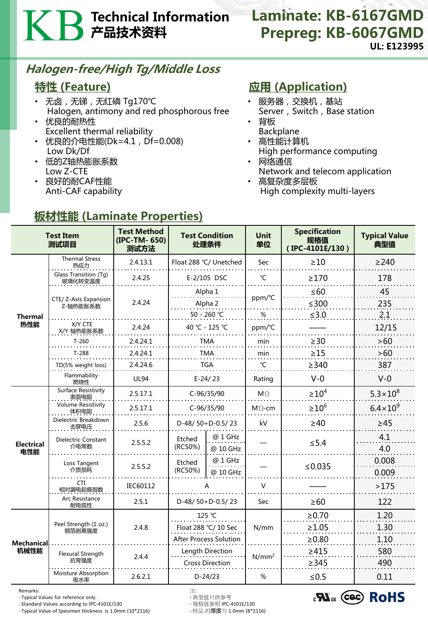# Technical Information 产品技术资料

#### Laminate: KB-6167GMD Prepreg: KB-6067GMD UL: E123995

### Halogen-free/High Tg/Middle Loss

### 特性 (Feature)

- 无卤 , 无锑 , 无红磷 Tg170℃ Halogen, antimony and red phosphorous free
- 优良的耐热性 Excellent thermal reliability
- 优良的介电性能(Dk=4.1, Df=0.008) Low Dk/Df
- 低的Z轴热膨胀系数 Low Z-CTE
- 良好的耐CAF性能 Anti-CAF capability

## **应用 (Application)**

- 服务器,交换机,基站 Server, Switch, Base station
- 背板 Backplane
- 高性能计算机 High performance computing
- 网络通信 Network and telecom application
- 高复杂度多层板 High complexity multi-layers

| <b>Test Item</b><br>测试项目  |                                    | <b>Test Method</b><br>(IPC-TM-650)<br>测试方法 | <b>Test Condition</b><br>处理条件 |                     | <b>Unit</b><br>单位 | <b>Specification</b><br>规格值<br>(IPC-4101E/130) | <b>Typical Value</b><br>典型值 |
|---------------------------|------------------------------------|--------------------------------------------|-------------------------------|---------------------|-------------------|------------------------------------------------|-----------------------------|
| <b>Thermal</b><br>热性能     | <b>Thermal Stress</b><br>热应力       | 2.4.13.1                                   | Float 288 °C/ Unetched        |                     | Sec               | $\geq 10$                                      | $\geq$ 240                  |
|                           | Glass Transition (Tg)<br>玻璃化转变温度   | 2.4.25                                     |                               | E-2/105 DSC         | $^{\circ}$ C      | $\geq$ 170                                     | 178                         |
|                           | CTE/ Z-Axis Expansion<br>Z-轴热膨胀系数  | 2.4.24                                     | Alpha 1                       |                     | ppm/°C            | $\leq 60$                                      | 45                          |
|                           |                                    |                                            | Alpha 2<br>50 - 260 ℃         |                     | %                 | $≤300$<br>$≤3.0$                               | 235<br>2.1                  |
|                           | X/Y CTE<br>X/Y-轴热膨胀系数              | 2.4.24                                     |                               | 40 °C - 125 °C      | ppm/°C            |                                                | 12/15                       |
|                           | $T-260$                            | 2.4.24.1                                   | TMA                           |                     | min               | $\geq$ 30                                      | >60                         |
|                           | $T-288$                            | 2.4.24.1                                   | TMA                           |                     | min               | $\geq$ 15                                      | >60                         |
|                           | TD(5% weight loss)                 | 2.4.24.6                                   | <b>TGA</b>                    |                     | °C                | $\geq$ 340                                     | 387                         |
|                           | Flammability<br>燃烧性                | <b>UL94</b>                                | $E-24/23$                     |                     | Rating            | $V-0$                                          | $V-0$                       |
| <b>Electrical</b><br>电性能  | <b>Surface Resistivity</b><br>表面电阻 | 2.5.17.1                                   | C-96/35/90                    |                     | $M\Omega$         | $\geq 10^4$                                    | $5.3 \times 10^{8}$         |
|                           | <b>Volume Resistivity</b><br>体积电阻  | 2.5.17.1                                   | C-96/35/90                    |                     | $M \Omega$ -cm    | $\geq 10^6$                                    | $6.4 \times 10^{9}$         |
|                           | Dielectric Breakdown<br>击穿电压       | 2.5.6                                      | D-48/50+D-0.5/23              |                     | kV                | $\geq 40$                                      | $\geq$ 45                   |
|                           | Dielectric Constant<br>介电常数        | 2.5.5.2                                    | Etched<br>(RC50%)             | @ 1 GHz<br>@ 10 GHz |                   | $≤ 5.4$                                        | 4.1<br>4.0                  |
|                           | Loss Tangent<br>介质损耗               | 2.5.5.2                                    | Etched<br>(RC50%)             | @ 1 GHz<br>@ 10 GHz |                   | ≤0.035                                         | 0.008<br>0.009              |
|                           | <b>CTI</b><br>相对漏电起痕指数             | IEC60112                                   | А                             |                     | V                 |                                                | >175                        |
|                           | <b>Arc Resistance</b><br>耐电弧性      | 2.5.1                                      | D-48/50+D-0.5/23              |                     | Sec               | $\geq 60$                                      | 122                         |
| <b>Mechanical</b><br>机械性能 | Peel Strength (1 oz.)<br>铜箔剥离强度    | 2.4.8                                      | 125 °C                        |                     | N/mm              | $\ge 0.70$                                     | 1.20                        |
|                           |                                    |                                            | Float 288 °C/ 10 Sec          |                     |                   | $\geq 1.05$                                    | 1.30                        |
|                           |                                    |                                            | After Process Solution        |                     |                   | $\geq 0.80$                                    | 1.10                        |
|                           | Flexural Strength                  | 2.4.4                                      | Length Direction              |                     | $N/mm^2$          | $\geq 415$                                     | 580                         |
|                           | 抗弯强度                               |                                            | <b>Cross Direction</b>        |                     |                   | $\geq$ 345                                     | 490                         |
|                           | Moisture Absorption<br>吸水率         | 2.6.2.1                                    | $D-24/23$                     |                     | %                 | $≤0.5$                                         | 0.11                        |

板材性能 (Laminate Properties)

Remarks: 注:

- Typical Values for reference only. - 典型值只供参考 - Standard Values according to IPC-4101E/130 - 规格值参照 IPC-4101E/130 - Typical Value of Specimen thickness is  $1.0$ mm ( $10*2116$ )